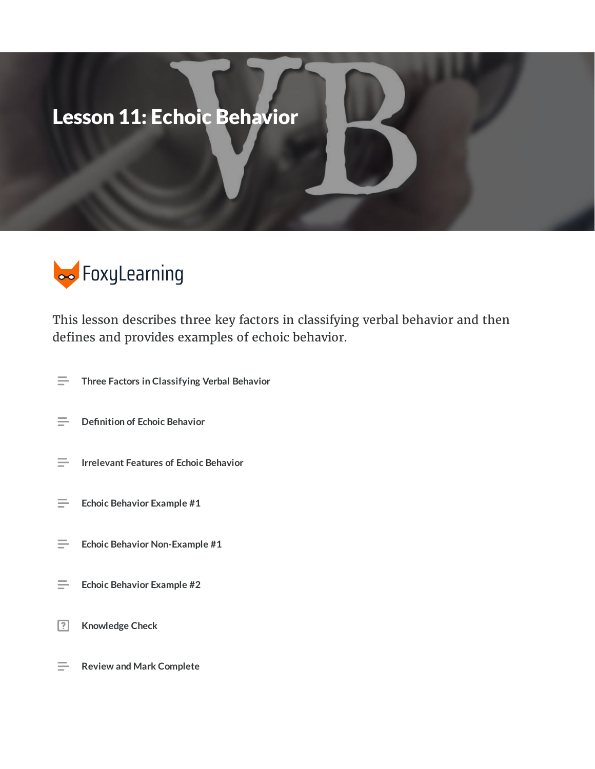# Lesson 11: Echoic Behavior



This lesson describes three key factors in classifying verbal behavior and then defines and provides examples of echoic behavior.

- **Three Factors in Classifying Verbal Behavior**  $\equiv$
- $\equiv$ **Definition of Echoic Behavior**
- $\equiv$ **Irrelevant Features of Echoic Behavior**
- $\equiv$ **Echoic Behavior Example #1**
- $\equiv$ **Echoic Behavior Non-Example #1**
- **Echoic Behavior Example #2**  $\equiv$
- $\boxed{?}$ **Knowledge Check**
- **Review and Mark Complete**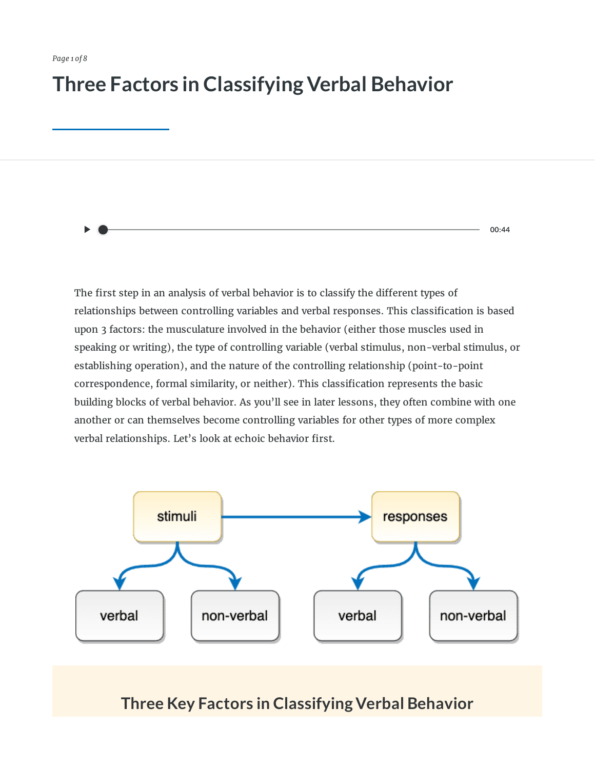### **Three Factors in Classifying Verbal Behavior**

The first step in an analysis of verbal behavior is to classify the different types of relationships between controlling variables and verbal responses. This classification is based upon 3 factors: the musculature involved in the behavior (either those muscles used in speaking or writing), the type of controlling variable (verbal stimulus, non-verbal stimulus, or establishing operation), and the nature of the controlling relationship (point-to-point correspondence, formal similarity, or neither). This classification represents the basic building blocks of verbal behavior. As you'll see in later lessons, they often combine with one another or can themselves become controlling variables for other types of more complex verbal relationships. Let's look at echoic behavior first.

**00:44**



#### **Three Key Factors in Classifying Verbal Behavior**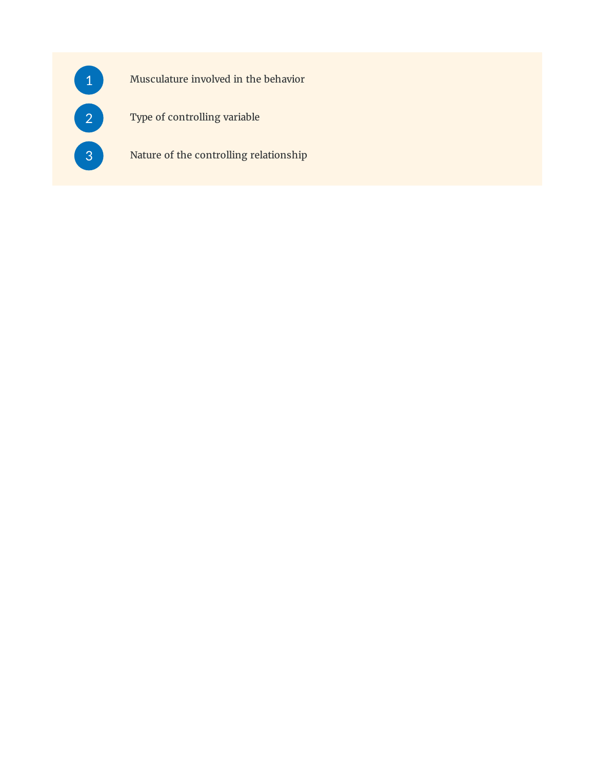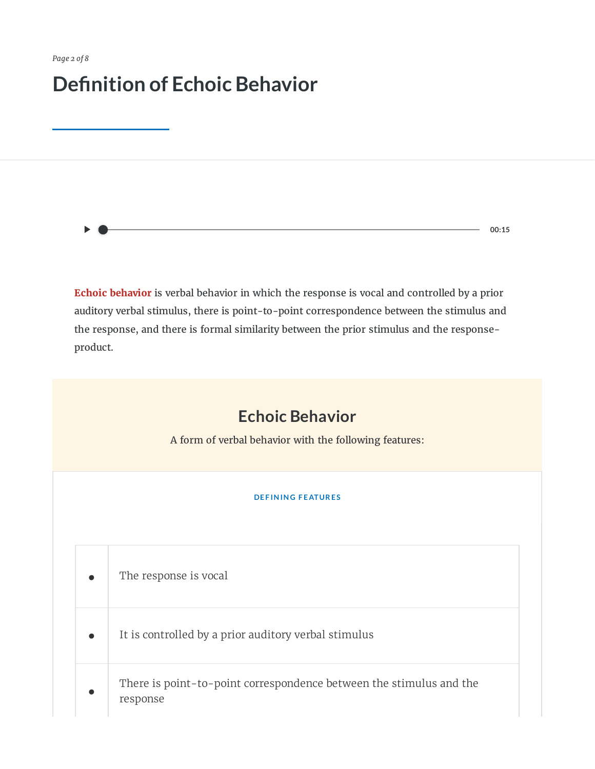## **Definition of Echoic Behavior**

**00:15**

**Echoic behavior** is verbal behavior in which the response is vocal and controlled by a prior auditory verbal stimulus, there is point-to-point correspondence between the stimulus and the response, and there is formal similarity between the prior stimulus and the responseproduct.

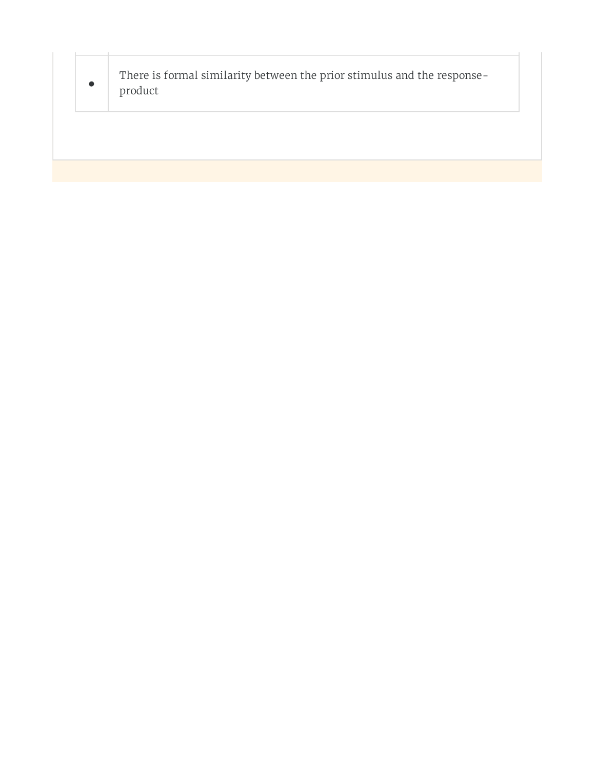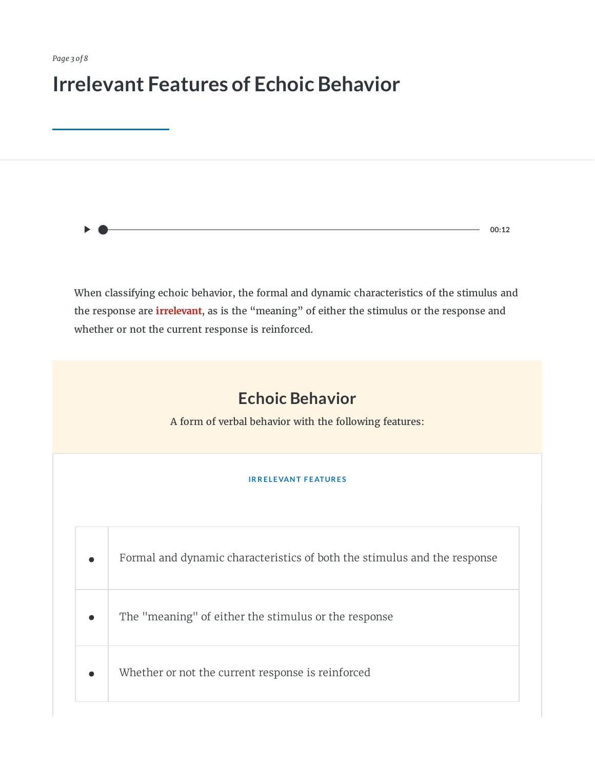### **Irrelevant Features of Echoic Behavior**

**00:12**

When classifying echoic behavior, the formal and dynamic characteristics of the stimulus and the response are **irrelevant**, as is the "meaning" of either the stimulus or the response and whether or not the current response is reinforced.

### **Echoic Behavior**

A form of verbal behavior with the following features:

#### **IR R E LE VAN T F E ATUR E S**

| Formal and dynamic characteristics of both the stimulus and the response |
|--------------------------------------------------------------------------|
| The "meaning" of either the stimulus or the response                     |
| Whether or not the current response is reinforced                        |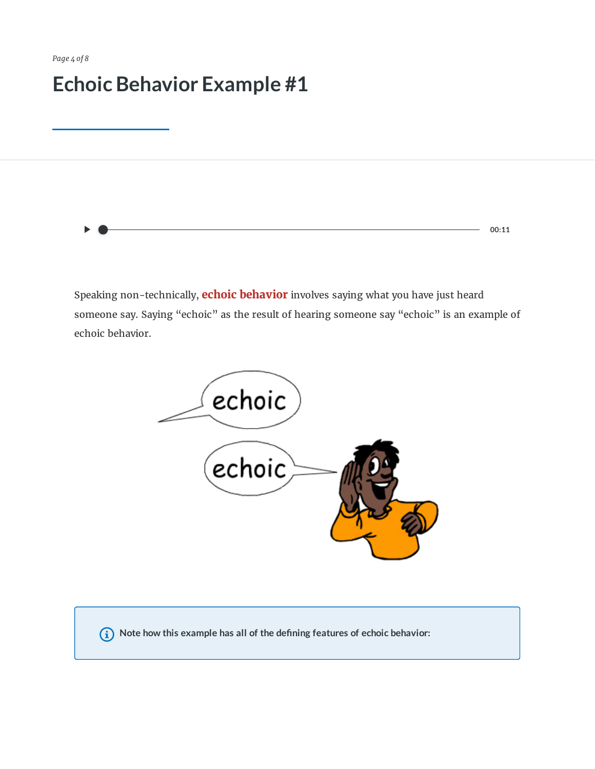*Page 4 of 8*

## **Echoic Behavior Example #1**

Speaking non-technically, **echoic behavior** involves saying what you have just heard someone say. Saying "echoic" as the result of hearing someone say "echoic" is an example of

**00:11**

echoic behavior.



**Note how this example has all of the dening features of echoic behavior:**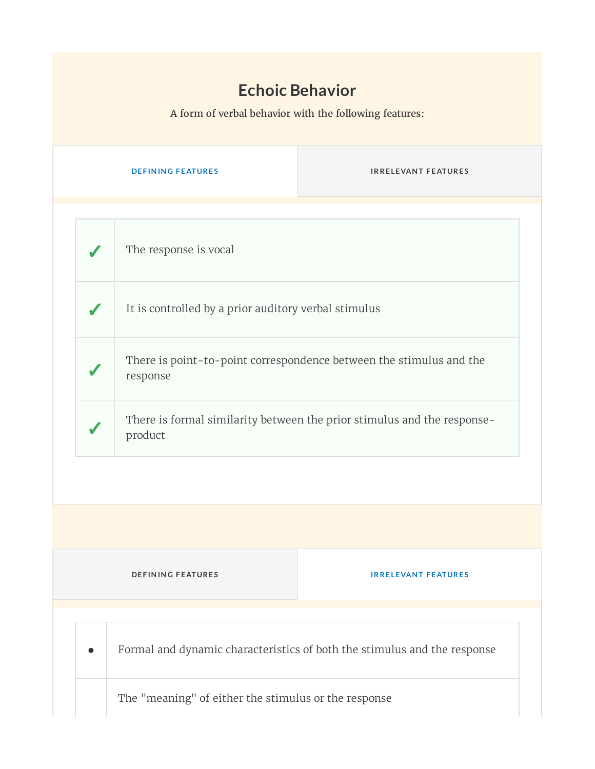### **Echoic Behavior**

A form of verbal behavior with the following features:

|                                                                                    |                                                                          | <b>DEFINING FEATURES</b>                             | <b>IRRELEVANT FEATURES</b>                                          |  |  |
|------------------------------------------------------------------------------------|--------------------------------------------------------------------------|------------------------------------------------------|---------------------------------------------------------------------|--|--|
|                                                                                    |                                                                          |                                                      |                                                                     |  |  |
|                                                                                    |                                                                          | The response is vocal                                |                                                                     |  |  |
|                                                                                    |                                                                          | It is controlled by a prior auditory verbal stimulus |                                                                     |  |  |
|                                                                                    |                                                                          | response                                             | There is point-to-point correspondence between the stimulus and the |  |  |
| There is formal similarity between the prior stimulus and the response-<br>product |                                                                          |                                                      |                                                                     |  |  |
|                                                                                    |                                                                          |                                                      |                                                                     |  |  |
|                                                                                    |                                                                          |                                                      |                                                                     |  |  |
|                                                                                    | <b>DEFINING FEATURES</b><br><b>IRRELEVANT FEATURES</b>                   |                                                      |                                                                     |  |  |
|                                                                                    |                                                                          |                                                      |                                                                     |  |  |
|                                                                                    | Formal and dynamic characteristics of both the stimulus and the response |                                                      |                                                                     |  |  |
| The "meaning" of either the stimulus or the response                               |                                                                          |                                                      |                                                                     |  |  |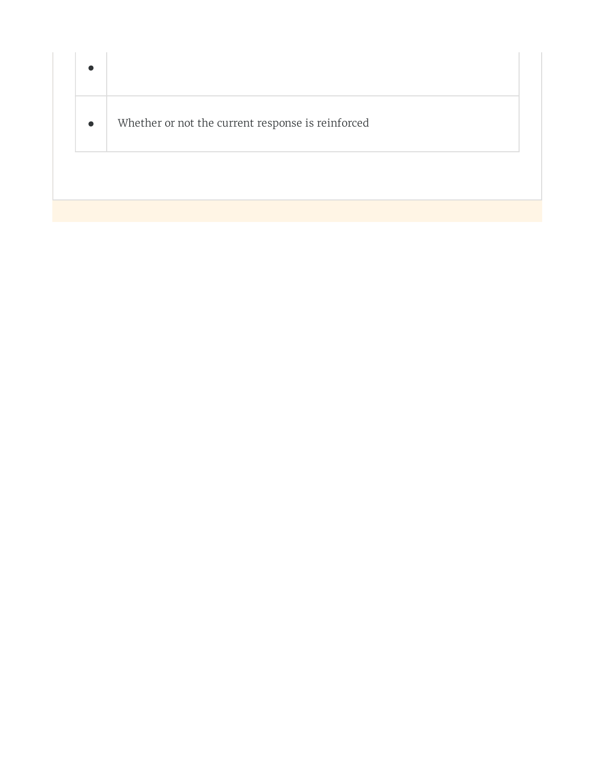| $\bullet$ |                                                   |
|-----------|---------------------------------------------------|
| $\bullet$ | Whether or not the current response is reinforced |
|           |                                                   |
|           |                                                   |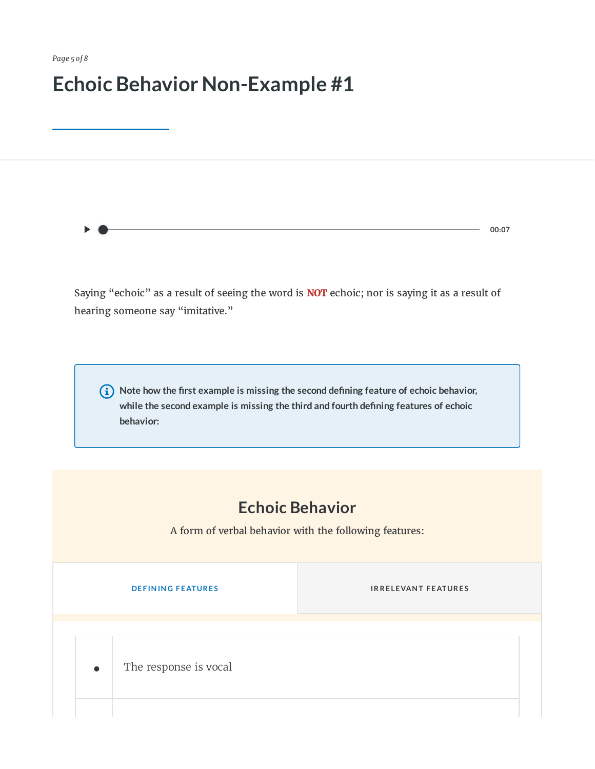*Page 5 of 8*

## **Echoic Behavior Non-Example #1**

**00:07**

Saying "echoic" as a result of seeing the word is **NOT** echoic; nor is saying it as a result of hearing someone say "imitative."

 **Note how the rst example is missing the second dening feature of echoic behavior, while the second example is missing the third and fourth dening features of echoic behavior:**

### **Echoic Behavior**

A form of verbal behavior with the following features:

**INFORMATION <b>EXAMPLE S INFORMATION CONTRACT <b>EXAMPLE S INFORMATION CONTRACT AT A PAID CONTRACT A EXAMPLE S** 

**•** The response is vocal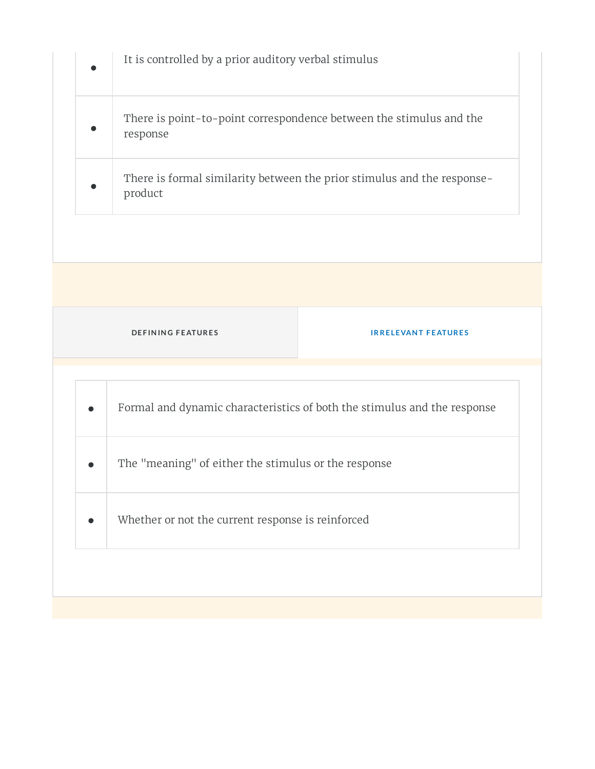|  | It is controlled by a prior auditory verbal stimulus                               |  |  |  |  |
|--|------------------------------------------------------------------------------------|--|--|--|--|
|  | There is point-to-point correspondence between the stimulus and the<br>response    |  |  |  |  |
|  | There is formal similarity between the prior stimulus and the response-<br>product |  |  |  |  |
|  |                                                                                    |  |  |  |  |
|  |                                                                                    |  |  |  |  |
|  | <b>DEFINING FEATURES</b><br><b>IRRELEVANT FEATURES</b>                             |  |  |  |  |
|  | Formal and dynamic characteristics of both the stimulus and the response           |  |  |  |  |
|  | The "meaning" of either the stimulus or the response                               |  |  |  |  |
|  | Whether or not the current response is reinforced                                  |  |  |  |  |
|  |                                                                                    |  |  |  |  |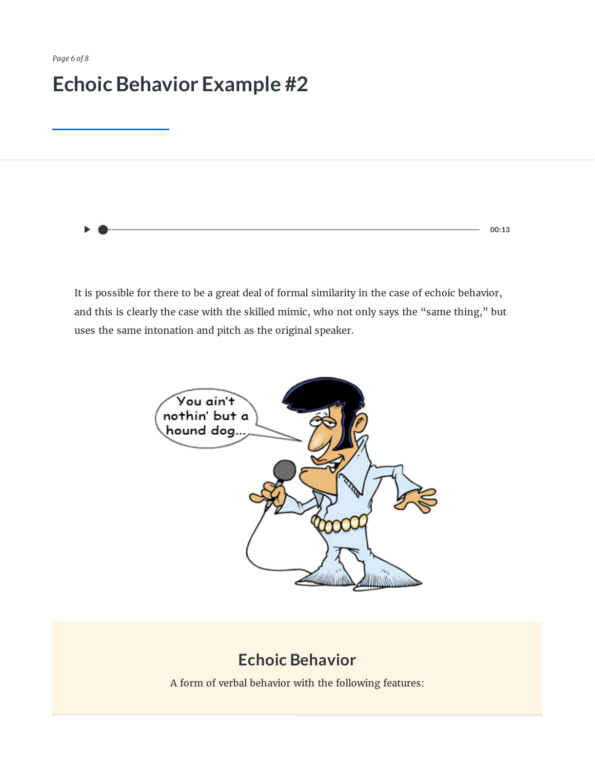# **Echoic Behavior Example #2**

**00:13**

It is possible for there to be a great deal of formal similarity in the case of echoic behavior, and this is clearly the case with the skilled mimic, who not only says the "same thing," but uses the same intonation and pitch as the original speaker.



### **Echoic Behavior**

A form of verbal behavior with the following features: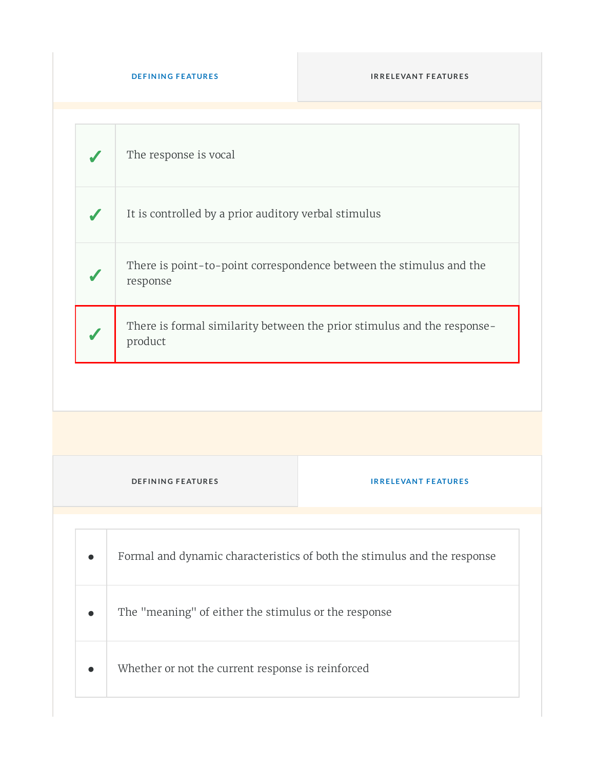|                          | The response is vocal                                                              |                            |  |
|--------------------------|------------------------------------------------------------------------------------|----------------------------|--|
|                          | It is controlled by a prior auditory verbal stimulus                               |                            |  |
|                          | There is point-to-point correspondence between the stimulus and the<br>response    |                            |  |
|                          | There is formal similarity between the prior stimulus and the response-<br>product |                            |  |
|                          |                                                                                    |                            |  |
|                          |                                                                                    |                            |  |
| <b>DEFINING FEATURES</b> |                                                                                    | <b>IRRELEVANT FEATURES</b> |  |
|                          |                                                                                    |                            |  |
|                          | Formal and dynamic characteristics of both the stimulus and the response           |                            |  |
|                          | The "meaning" of either the stimulus or the response                               |                            |  |
|                          | Whether or not the current response is reinforced                                  |                            |  |
|                          |                                                                                    |                            |  |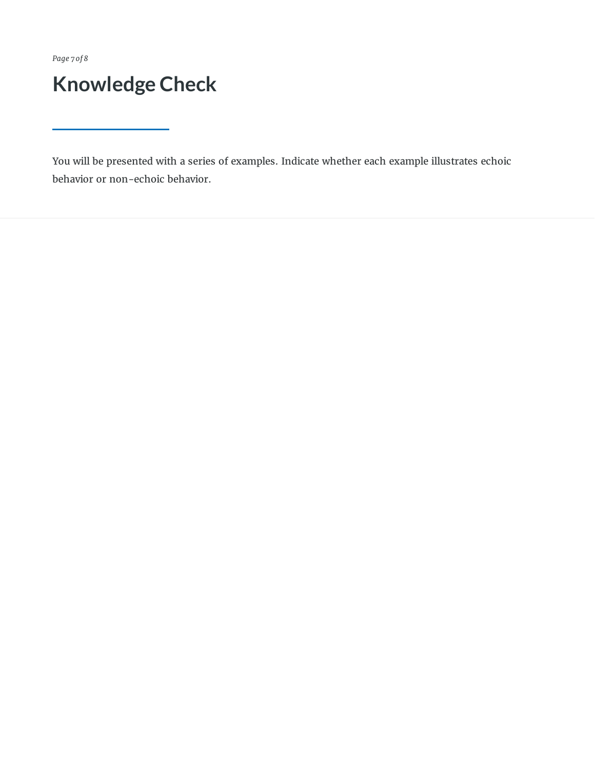*Page 7 of 8*

## **Knowledge Check**

You will be presented with a series of examples. Indicate whether each example illustrates echoic behavior or non-echoic behavior.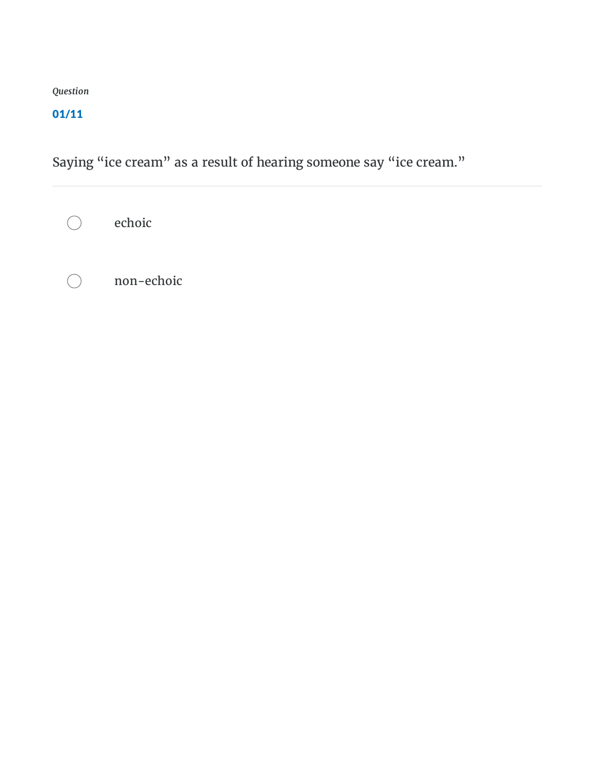#### 01/11

Saying "ice cream" as a result of hearing someone say "ice cream."

echoic  $\bigcap$ 

non-echoic $( )$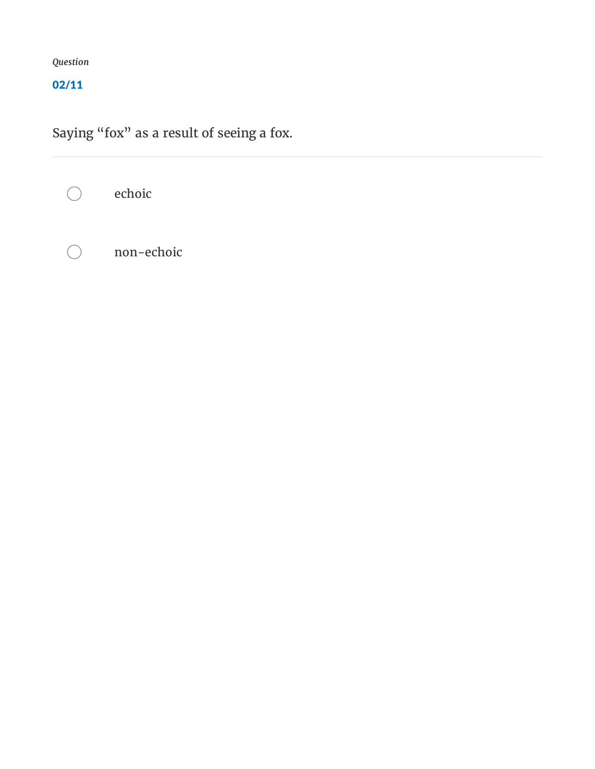#### 02/11

Saying "fox" as a result of seeing a fox.

echoic  $\bigcirc$ non-echoic $\bigcap$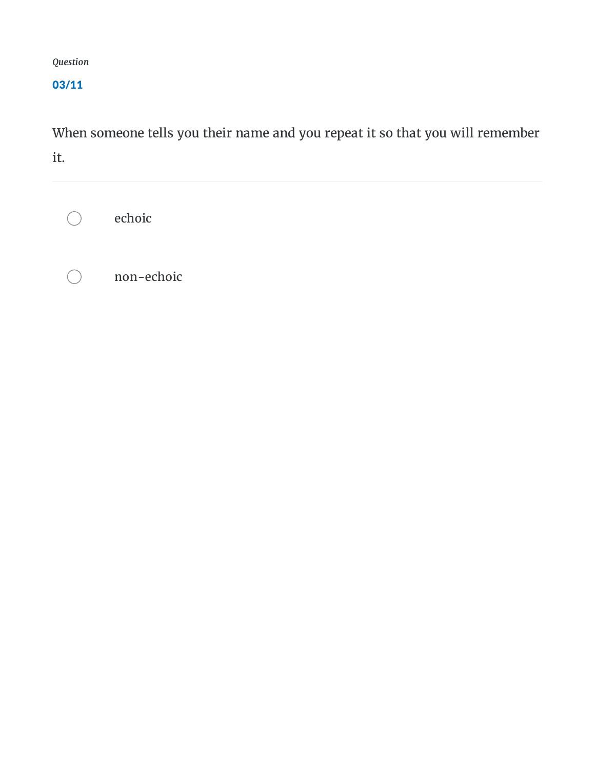#### 03/11

When someone tells you their name and you repeat it so that you will remember it.

echoic  $\bigcirc$ 

non-echoic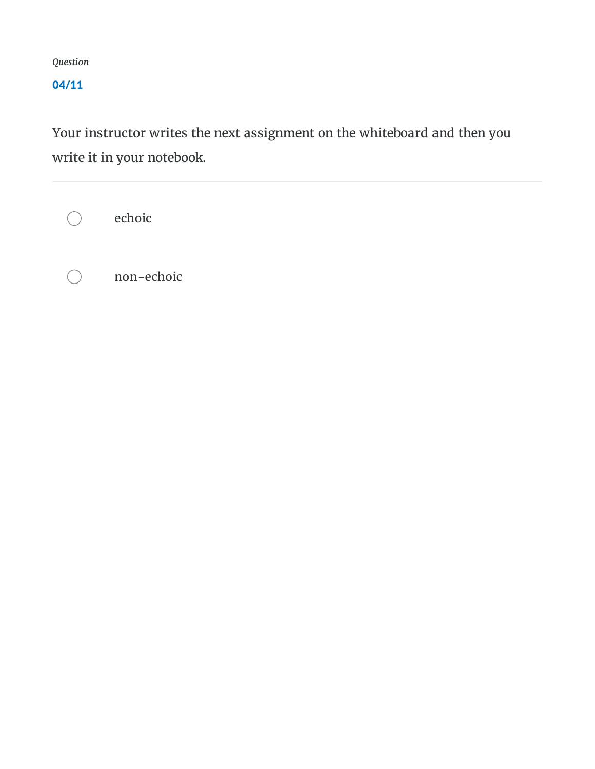#### 04/11

Your instructor writes the next assignment on the whiteboard and then you write it in your notebook.

echoic  $\bigcirc$ 

 $($ 

non-echoic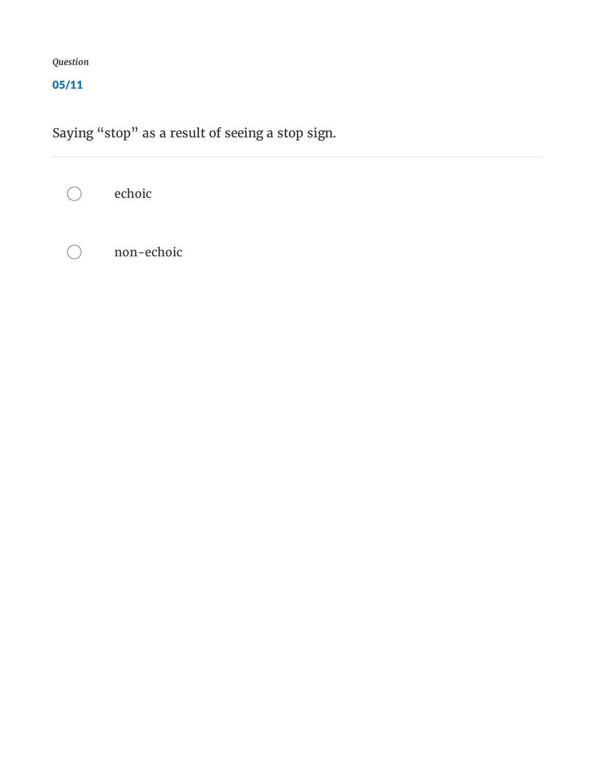#### 05/11

Saying "stop" as a result of seeing a stop sign.

echoic  $\bigcap$ 

 $\bigcap$ 

non-echoic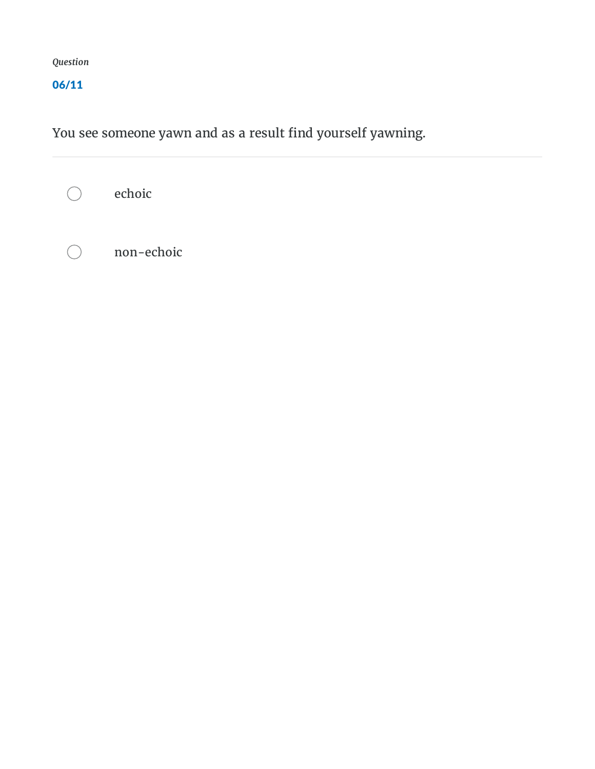#### 06/11

You see someone yawn and as a result find yourself yawning.

echoic  $\bigcirc$ 

non-echoic $\bigcap$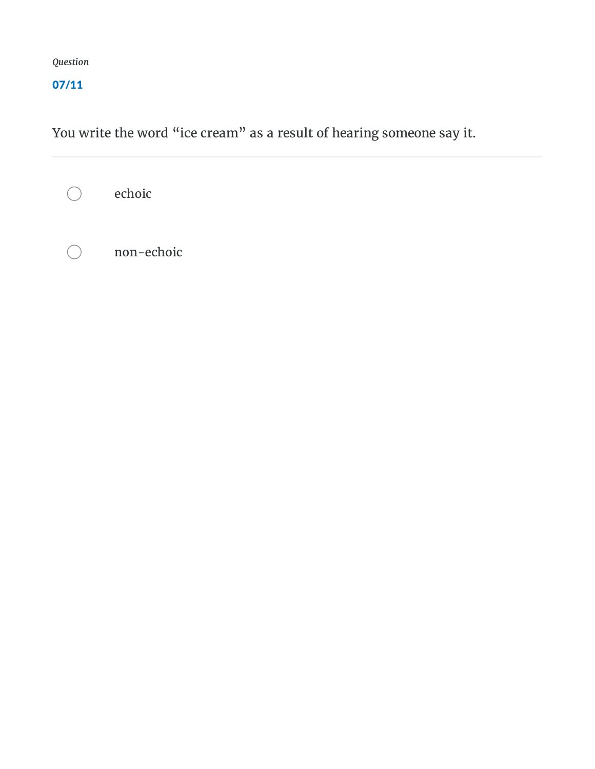#### 07/11

You write the word "ice cream" as a result of hearing someone say it.

echoic  $\bigcirc$ 

non-echoic $\bigcap$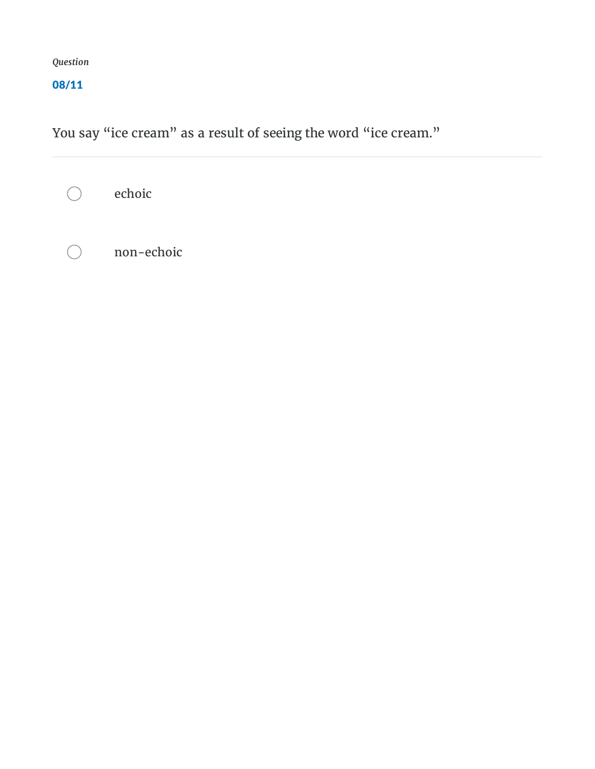#### 08/11

You say "ice cream" as a result of seeing the word "ice cream."

echoic  $\bigcirc$ 

non-echoic $\bigcirc$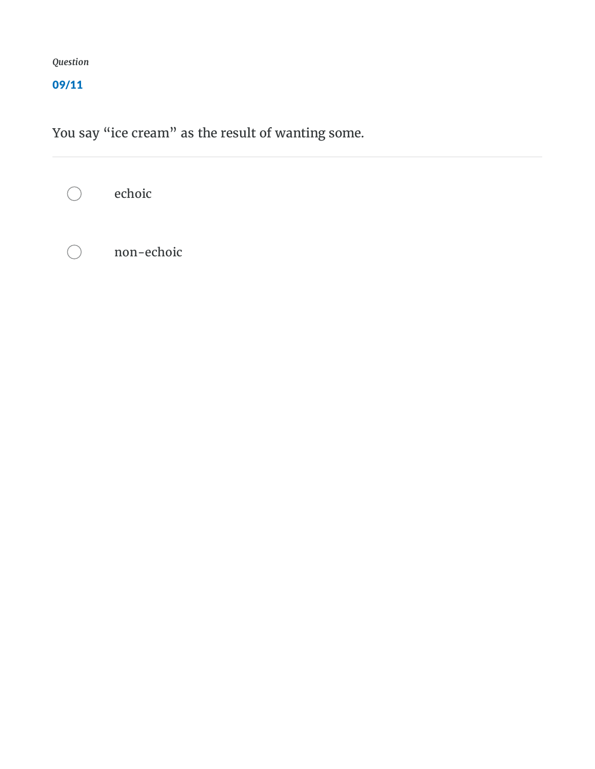#### 09/11

You say "ice cream" as the result of wanting some.

echoic  $\bigcirc$ 

non-echoic $\bigcap$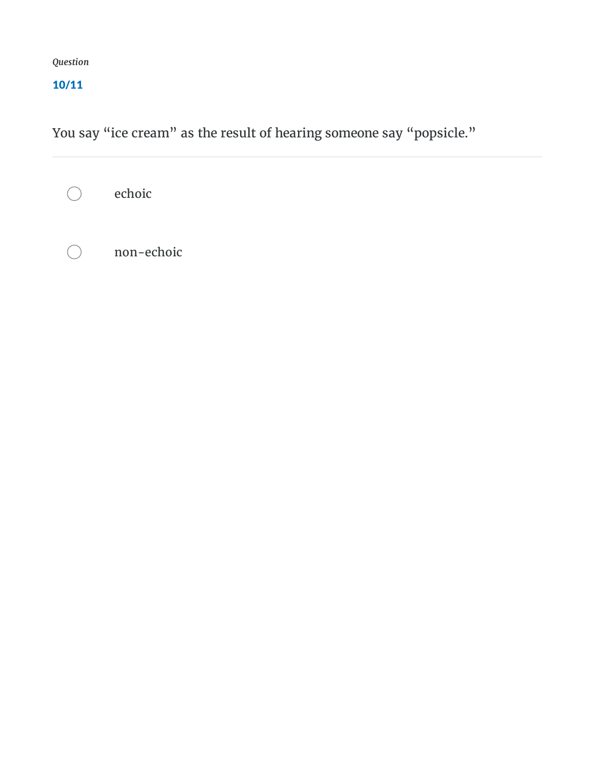#### 10/11

You say "ice cream" as the result of hearing someone say "popsicle."

echoic  $\bigcirc$ 

non-echoic $\bigcirc$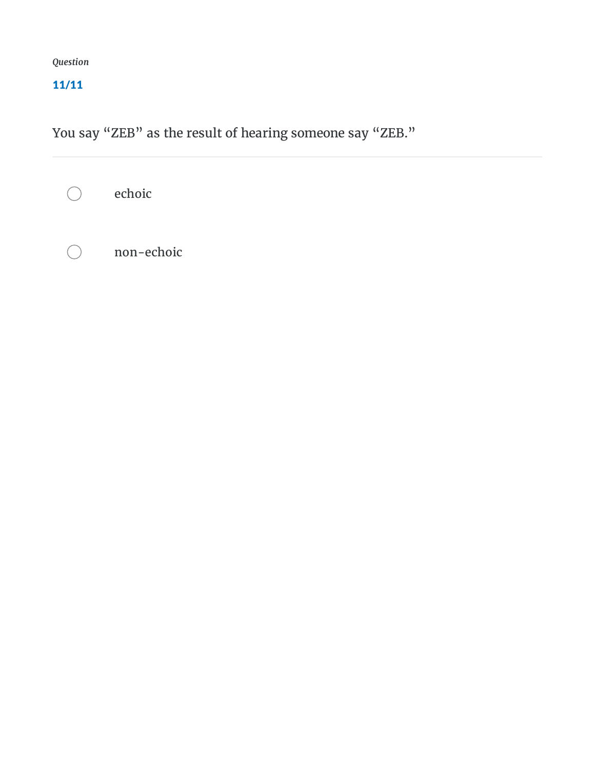#### 11/11

You say "ZEB" as the result of hearing someone say "ZEB."

echoic  $\bigcirc$ 

non-echoic $\bigcap$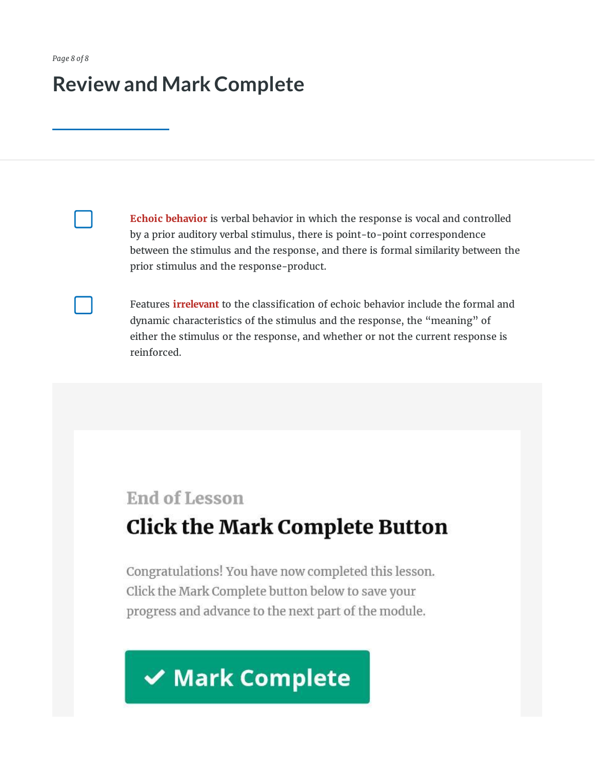## **Review and MarkComplete**

**Echoic behavior** is verbal behavior in which the response is vocal and controlled by a prior auditory verbal stimulus, there is point-to-point correspondence between the stimulus and the response, and there is formal similarity between the prior stimulus and the response-product.

Features *irrelevant* to the classification of echoic behavior include the formal and dynamic characteristics of the stimulus and the response, the "meaning" of either the stimulus or the response, and whether or not the current response is reinforced.

# End of Lesson **Click the Mark Complete Button**

Congratulations! You have now completed this lesson. Click the Mark Complete button below to save your progress and advance to the next part of the module.

# **√ Mark Complete**